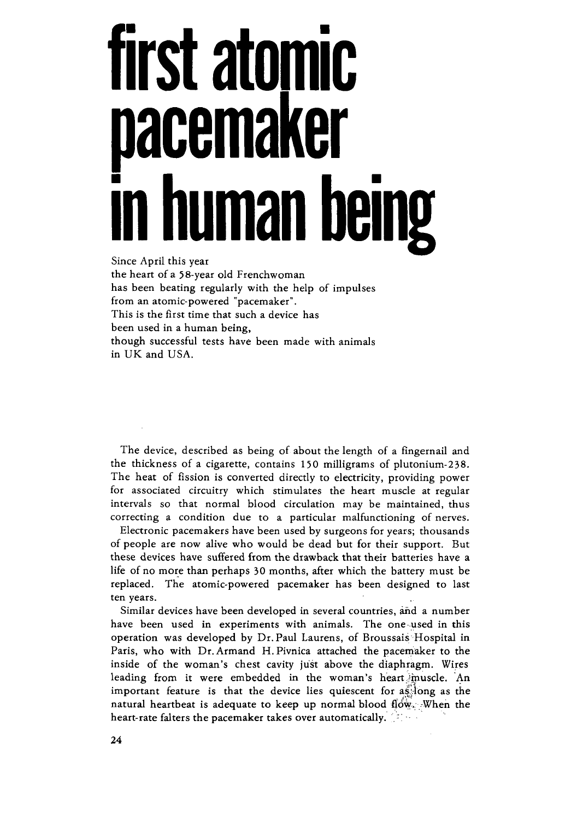## **first atomic cemaker in human being**

Since April this year the heart of a 58-year old Frenchwoman has been beating regularly with the help of impulses from an atomic-powered "pacemaker". This is the first time that such a device has been used in a human being, though successful tests have been made with animals in UK and USA.

The device, described as being of about the length of a fingernail and the thickness of a cigarette, contains 150 milligrams of plutonium-238. The heat of fission is converted directly to electricity, providing power for associated circuitry which stimulates the heart muscle at regular intervals so that normal blood circulation may be maintained, thus correcting a condition due to a particular malfunctioning of nerves.

Electronic pacemakers have been used by surgeons for years; thousands of people are now alive who would be dead but for their support. But these devices have suffered from the drawback that their batteries have a life of no more than perhaps 30 months, after which the battery must be replaced. The atomic-powered pacemaker has been designed to last ten years.

Similar devices have been developed in several countries, and a number have been used in experiments with animals. The one.used in this operation was developed by Dr. Paul Laurens, of Broussais Hospital in Paris, who with Dr.Armand H.Pivnica attached the pacemaker to the inside of the woman's chest cavity just above the diaphragm. Wires leading from it were embedded in the woman's heart jmuscle. An important feature is that the device lies quiescent for as long as the natural heartbeat is adequate to keep up normal blood flow. When the heart-rate falters the pacemaker takes over automatically. [3]